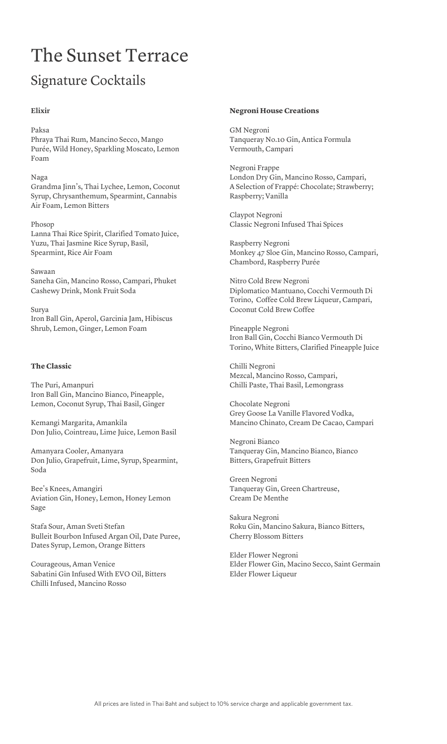# The Sunset Terrace

### Signature Cocktails

#### **Elixir**

#### Paksa

Phraya Thai Rum, Mancino Secco, Mango Purée, Wild Honey, Sparkling Moscato, Lemon Foam

Naga

Grandma Jinn's, Thai Lychee, Lemon, Coconut Syrup, Chrysanthemum, Spearmint, Cannabis Air Foam, Lemon Bitters

Phosop Lanna Thai Rice Spirit, Clarified Tomato Juice, Yuzu, Thai Jasmine Rice Syrup, Basil, Spearmint, Rice Air Foam

Sawaan Saneha Gin, Mancino Rosso, Campari, Phuket Cashewy Drink, Monk Fruit Soda

Surya Iron Ball Gin, Aperol, Garcinia Jam, Hibiscus Shrub, Lemon, Ginger, Lemon Foam

#### **The Classic**

The Puri, Amanpuri Iron Ball Gin, Mancino Bianco, Pineapple, Lemon, Coconut Syrup, Thai Basil, Ginger

Kemangi Margarita, Amankila Don Julio, Cointreau, Lime Juice, Lemon Basil

Amanyara Cooler, Amanyara Don Julio, Grapefruit, Lime, Syrup, Spearmint, Soda

Bee's Knees, Amangiri Aviation Gin, Honey, Lemon, Honey Lemon Sage

Stafa Sour, Aman Sveti Stefan Bulleit Bourbon Infused Argan Oil, Date Puree, Dates Syrup, Lemon, Orange Bitters

Courageous, Aman Venice Sabatini Gin Infused With EVO Oil, Bitters Chilli Infused, Mancino Rosso

#### **Negroni House Creations**

GM Negroni Tanqueray No.10 Gin, Antica Formula Vermouth, Campari

Negroni Frappe London Dry Gin, Mancino Rosso, Campari, A Selection of Frappé: Chocolate; Strawberry; Raspberry; Vanilla

Claypot Negroni Classic Negroni Infused Thai Spices

Raspberry Negroni Monkey 47 Sloe Gin, Mancino Rosso, Campari, Chambord, Raspberry Purée

Nitro Cold Brew Negroni Diplomatico Mantuano, Cocchi Vermouth Di Torino, Coffee Cold Brew Liqueur, Campari, Coconut Cold Brew Coffee

Pineapple Negroni Iron Ball Gin, Cocchi Bianco Vermouth Di Torino, White Bitters, Clarified Pineapple Juice

Chilli Negroni Mezcal, Mancino Rosso, Campari, Chilli Paste, Thai Basil, Lemongrass

Chocolate Negroni Grey Goose La Vanille Flavored Vodka, Mancino Chinato, Cream De Cacao, Campari

Negroni Bianco Tanqueray Gin, Mancino Bianco, Bianco Bitters, Grapefruit Bitters

Green Negroni Tanqueray Gin, Green Chartreuse, Cream De Menthe

Sakura Negroni Roku Gin, Mancino Sakura, Bianco Bitters, Cherry Blossom Bitters

Elder Flower Negroni Elder Flower Gin, Macino Secco, Saint Germain Elder Flower Liqueur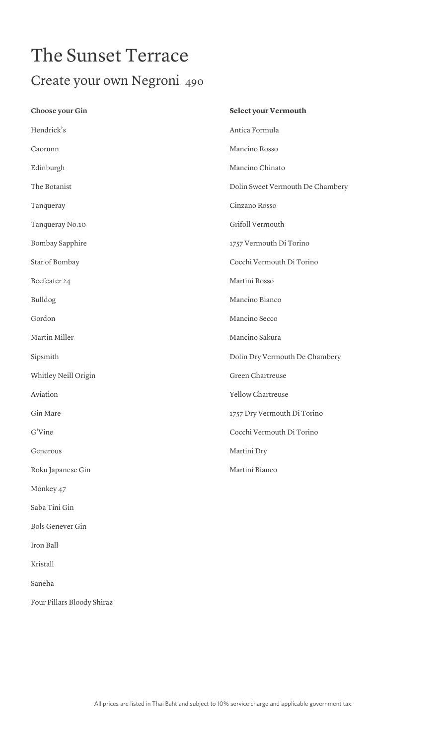## The Sunset Terrace Create your own Negroni 490

| Choose your Gin         | Select your Vermouth             |
|-------------------------|----------------------------------|
| Hendrick's              | Antica Formula                   |
| Caorunn                 | Mancino Rosso                    |
| Edinburgh               | Mancino Chinato                  |
| The Botanist            | Dolin Sweet Vermouth De Chambery |
| Tanqueray               | Cinzano Rosso                    |
| Tanqueray No.10         | Grifoll Vermouth                 |
| Bombay Sapphire         | 1757 Vermouth Di Torino          |
| Star of Bombay          | Cocchi Vermouth Di Torino        |
| Beefeater 24            | Martini Rosso                    |
| Bulldog                 | Mancino Bianco                   |
| Gordon                  | Mancino Secco                    |
| Martin Miller           | Mancino Sakura                   |
| Sipsmith                | Dolin Dry Vermouth De Chambery   |
| Whitley Neill Origin    | Green Chartreuse                 |
| Aviation                | Yellow Chartreuse                |
| Gin Mare                | 1757 Dry Vermouth Di Torino      |
| G'Vine                  | Cocchi Vermouth Di Torino        |
| Generous                | Martini Dry                      |
| Roku Japanese Gin       | Martini Bianco                   |
| Monkey 47               |                                  |
| Saba Tini Gin           |                                  |
| <b>Bols Genever Gin</b> |                                  |
| Iron Ball               |                                  |
| Kristall                |                                  |

Saneha

Four Pillars Bloody Shiraz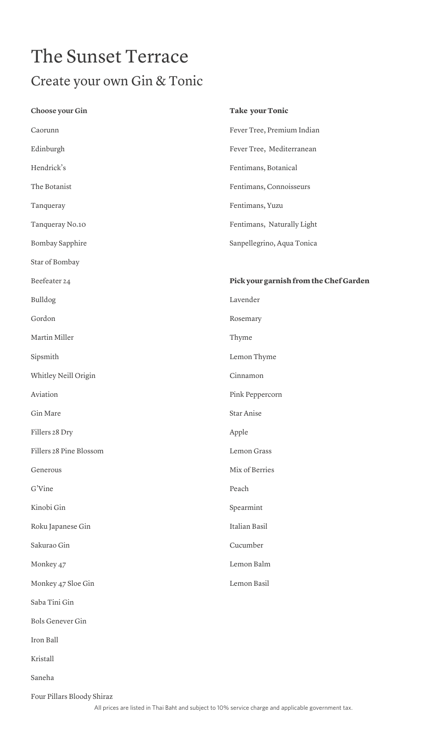### The Sunset Terrace Create your own Gin & Tonic

| Choose your Gin         | <b>Take your Tonic</b>                 |
|-------------------------|----------------------------------------|
| Caorunn                 | Fever Tree, Premium Indian             |
| Edinburgh               | Fever Tree, Mediterranean              |
| Hendrick's              | Fentimans, Botanical                   |
| The Botanist            | Fentimans, Connoisseurs                |
| Tanqueray               | Fentimans, Yuzu                        |
| Tanqueray No.10         | Fentimans, Naturally Light             |
| Bombay Sapphire         | Sanpellegrino, Aqua Tonica             |
| Star of Bombay          |                                        |
| Beefeater 24            | Pick your garnish from the Chef Garden |
| Bulldog                 | Lavender                               |
| Gordon                  | Rosemary                               |
| Martin Miller           | Thyme                                  |
| Sipsmith                | Lemon Thyme                            |
| Whitley Neill Origin    | Cinnamon                               |
| Aviation                | Pink Peppercorn                        |
| Gin Mare                | Star Anise                             |
| Fillers 28 Dry          | Apple                                  |
| Fillers 28 Pine Blossom | Lemon Grass                            |
| Generous                | Mix of Berries                         |
| G'Vine                  | Peach                                  |
| Kinobi Gin              | Spearmint                              |
| Roku Japanese Gin       | Italian Basil                          |
| Sakurao Gin             | Cucumber                               |
| Monkey 47               | Lemon Balm                             |
| Monkey 47 Sloe Gin      | Lemon Basil                            |
| Saba Tini Gin           |                                        |
| <b>Bols Genever Gin</b> |                                        |
| Iron Ball               |                                        |
| Kristall                |                                        |
| Saneha                  |                                        |
|                         |                                        |

Four Pillars Bloody Shiraz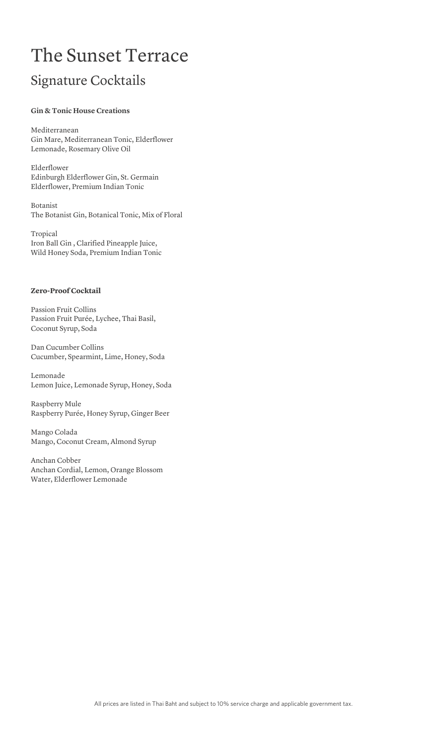### The Sunset Terrace Signature Cocktails

#### **Gin & Tonic House Creations**

Mediterranean Gin Mare, Mediterranean Tonic, Elderflower Lemonade, Rosemary Olive Oil

Elderflower Edinburgh Elderflower Gin, St. Germain Elderflower, Premium Indian Tonic

Botanist The Botanist Gin, Botanical Tonic, Mix of Floral

Tropical Iron Ball Gin , Clarified Pineapple Juice, Wild Honey Soda, Premium Indian Tonic

#### **Zero-Proof Cocktail**

Passion Fruit Collins Passion Fruit Purée, Lychee, Thai Basil, Coconut Syrup, Soda

Dan Cucumber Collins Cucumber, Spearmint, Lime, Honey, Soda

Lemonade Lemon Juice, Lemonade Syrup, Honey, Soda

Raspberry Mule Raspberry Purée, Honey Syrup, Ginger Beer

Mango Colada Mango, Coconut Cream, Almond Syrup

Anchan Cobber Anchan Cordial, Lemon, Orange Blossom Water, Elderflower Lemonade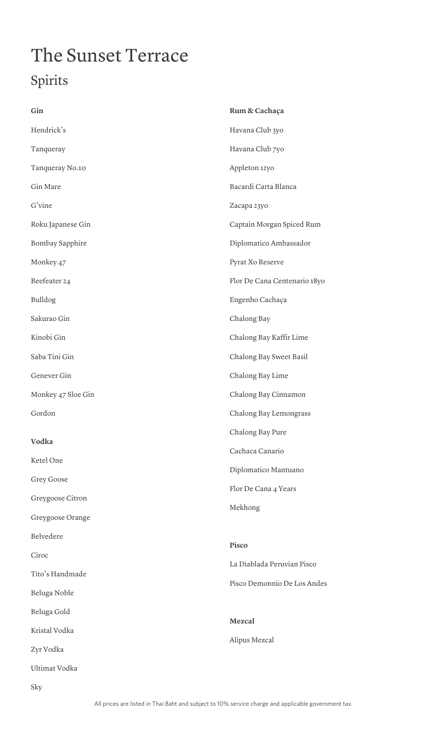# The Sunset Terrace Spirits

| Gin                | Rum & Cachaça                |
|--------------------|------------------------------|
| Hendrick's         | Havana Club 3yo              |
| Tanqueray          | Havana Club 7yo              |
| Tanqueray No.10    | Appleton 12yo                |
| Gin Mare           | Bacardi Carta Blanca         |
| $G$ 'vine          | Zacapa 23yo                  |
| Roku Japanese Gin  | Captain Morgan Spiced Rum    |
| Bombay Sapphire    | Diplomatico Ambassador       |
| Monkey 47          | Pyrat Xo Reserve             |
| Beefeater 24       | Flor De Cana Centenario 18yo |
| Bulldog            | Engenho Cachaça              |
| Sakurao Gin        | Chalong Bay                  |
| Kinobi Gin         | Chalong Bay Kaffir Lime      |
| Saba Tini Gin      | Chalong Bay Sweet Basil      |
| Genever Gin        | Chalong Bay Lime             |
| Monkey 47 Sloe Gin | Chalong Bay Cinnamon         |
| Gordon             | Chalong Bay Lemongrass       |
|                    | Chalong Bay Pure             |
| Vodka              | Cachaca Canario              |
| Ketel One          | Diplomatico Mantuano         |
| Grey Goose         | Flor De Cana 4 Years         |
| Greygoose Citron   | Mekhong                      |
| Greygoose Orange   |                              |
| Belvedere          | Pisco                        |
| Ciroc              | La Diablada Peruvian Pisco   |
| Tito's Handmade    | Pisco Demonnio De Los Andes  |
| Beluga Noble       |                              |
| Beluga Gold        | Mezcal                       |
| Kristal Vodka      | Alipus Mezcal                |
| Zyr Vodka          |                              |
| Ultimat Vodka      |                              |
| Sky                |                              |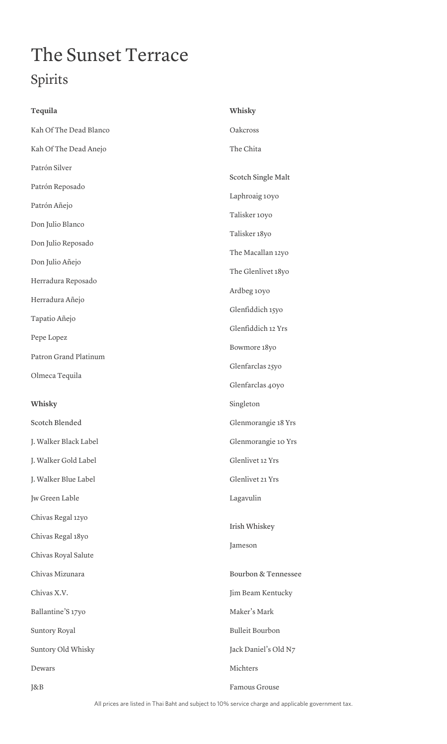# The Sunset Terrace Spirits

| Tequila                | Whisky                 |
|------------------------|------------------------|
| Kah Of The Dead Blanco | Oakcross               |
| Kah Of The Dead Anejo  | The Chita              |
| Patrón Silver          |                        |
| Patrón Reposado        | Scotch Single Malt     |
| Patrón Añejo           | Laphroaig 10yo         |
| Don Julio Blanco       | Talisker 10yo          |
| Don Julio Reposado     | Talisker 18yo          |
| Don Julio Añejo        | The Macallan 12yo      |
| Herradura Reposado     | The Glenlivet 18yo     |
| Herradura Añejo        | Ardbeg 10yo            |
| Tapatio Añejo          | Glenfiddich 15yo       |
| Pepe Lopez             | Glenfiddich 12 Yrs     |
| Patron Grand Platinum  | Bowmore 18yo           |
| Olmeca Tequila         | Glenfarclas 25yo       |
|                        | Glenfarclas 40yo       |
| Whisky                 | Singleton              |
| Scotch Blended         | Glenmorangie 18 Yrs    |
| J. Walker Black Label  | Glenmorangie 10 Yrs    |
| J. Walker Gold Label   | Glenlivet 12 Yrs       |
| J. Walker Blue Label   | Glenlivet 21 Yrs       |
| Jw Green Lable         | Lagavulin              |
| Chivas Regal 12yo      |                        |
| Chivas Regal 18yo      | Irish Whiskey          |
| Chivas Royal Salute    | Jameson                |
| Chivas Mizunara        | Bourbon & Tennessee    |
| Chivas X.V.            | Jim Beam Kentucky      |
| Ballantine'S 17yo      | Maker's Mark           |
| Suntory Royal          | <b>Bulleit Bourbon</b> |
| Suntory Old Whisky     | Jack Daniel's Old N7   |
| Dewars                 | Michters               |
| J&B                    | Famous Grouse          |

All prices are listed in Thai Baht and subject to 10% service charge and applicable government tax.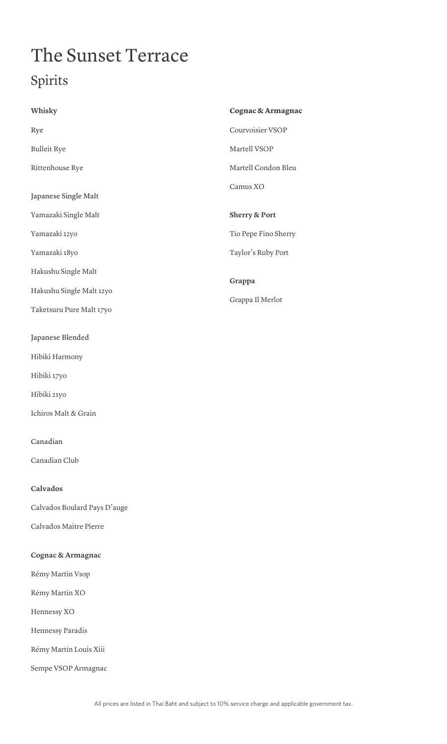# The Sunset Terrace Spirits

| Whisky                                                                                                                | Cognac & Armagnac    |
|-----------------------------------------------------------------------------------------------------------------------|----------------------|
| Rye                                                                                                                   | Courvoisier VSOP     |
| <b>Bulleit Rye</b>                                                                                                    | Martell VSOP         |
| Rittenhouse Rye                                                                                                       | Martell Condon Bleu  |
| Japanese Single Malt                                                                                                  | Camus XO             |
| Yamazaki Single Malt                                                                                                  | Sherry & Port        |
| Yamazaki 12yo                                                                                                         | Tio Pepe Fino Sherry |
| Yamazaki 18yo                                                                                                         | Taylor's Ruby Port   |
| Hakushu Single Malt                                                                                                   |                      |
| Hakushu Single Malt 12yo                                                                                              | Grappa               |
| Taketsuru Pure Malt 17yo                                                                                              | Grappa Il Merlot     |
| Japanese Blended<br>Hibiki Harmony<br>Hibiki 17yo<br>Hibiki 21yo<br>Ichiros Malt & Grain<br>Canadian<br>Canadian Club |                      |
| Calvados                                                                                                              |                      |
| Calvados Boulard Pays D'auge                                                                                          |                      |
| Calvados Maitre Pierre                                                                                                |                      |
| Cognac & Armagnac                                                                                                     |                      |
| Rémy Martin Vsop                                                                                                      |                      |
| Rémy Martin XO                                                                                                        |                      |
| Hennessy XO                                                                                                           |                      |
| Hennessy Paradis                                                                                                      |                      |
| Rémy Martin Louis Xiii                                                                                                |                      |

Sempe VSOP Armagnac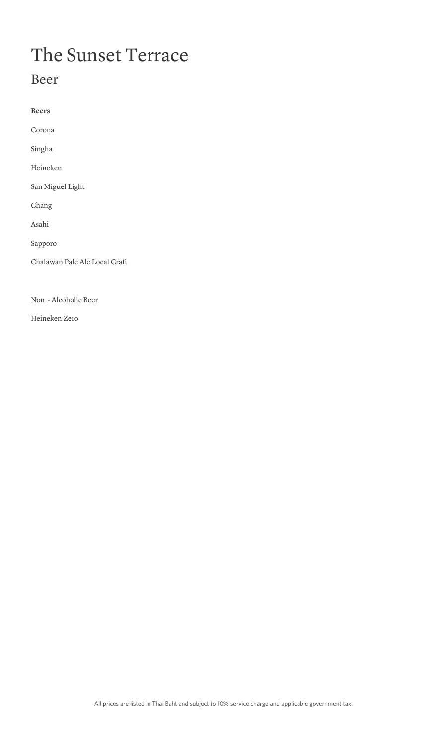## The Sunset Terrace

### Beer

**Beers** Corona Singha Heineken San Miguel Light Chang Asahi Sapporo Chalawan Pale Ale Local Craft

Non - Alcoholic Beer

Heineken Zero